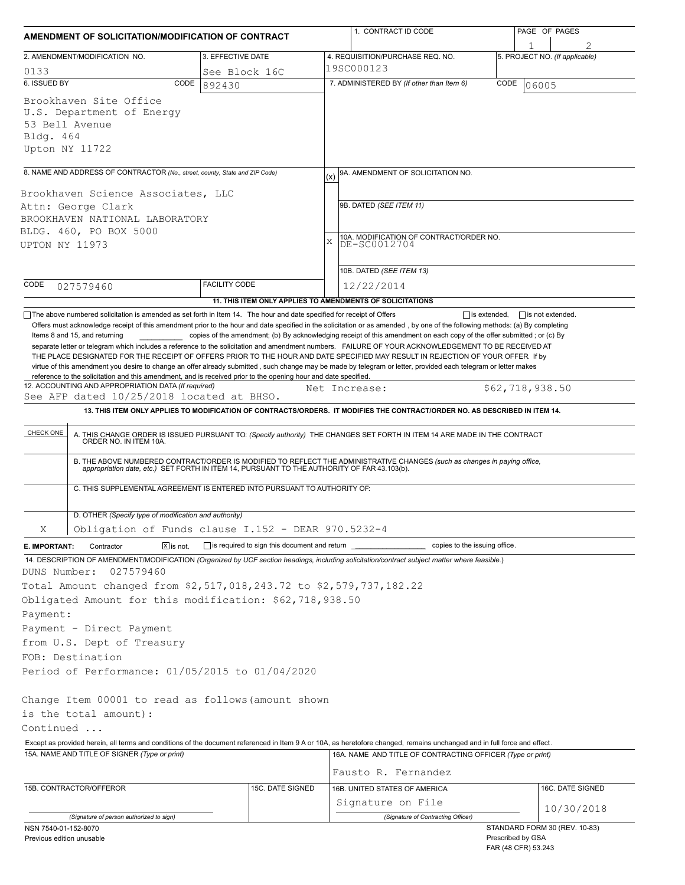| AMENDMENT OF SOLICITATION/MODIFICATION OF CONTRACT                                                                                     |                                                                                                                                                                                                                     |                                                           |     | 1. CONTRACT ID CODE                                                                                                                                                                                                                                                                              |  | PAGE OF PAGES                                                             |  |  |  |
|----------------------------------------------------------------------------------------------------------------------------------------|---------------------------------------------------------------------------------------------------------------------------------------------------------------------------------------------------------------------|-----------------------------------------------------------|-----|--------------------------------------------------------------------------------------------------------------------------------------------------------------------------------------------------------------------------------------------------------------------------------------------------|--|---------------------------------------------------------------------------|--|--|--|
|                                                                                                                                        |                                                                                                                                                                                                                     | 3. EFFECTIVE DATE                                         |     |                                                                                                                                                                                                                                                                                                  |  | 5. PROJECT NO. (If applicable)                                            |  |  |  |
| 2. AMENDMENT/MODIFICATION NO.                                                                                                          |                                                                                                                                                                                                                     |                                                           |     | 4. REQUISITION/PURCHASE REQ. NO.<br>19SC000123                                                                                                                                                                                                                                                   |  |                                                                           |  |  |  |
| 0133<br>6. ISSUED BY                                                                                                                   | CODE                                                                                                                                                                                                                | See Block 16C<br>892430                                   |     | 7. ADMINISTERED BY (If other than Item 6)<br>CODE<br>06005                                                                                                                                                                                                                                       |  |                                                                           |  |  |  |
| Bldg. 464                                                                                                                              | Brookhaven Site Office<br>U.S. Department of Energy<br>53 Bell Avenue<br>Upton NY 11722                                                                                                                             |                                                           |     |                                                                                                                                                                                                                                                                                                  |  |                                                                           |  |  |  |
|                                                                                                                                        | 8. NAME AND ADDRESS OF CONTRACTOR (No., street, county, State and ZIP Code)                                                                                                                                         |                                                           | (x) | 9A. AMENDMENT OF SOLICITATION NO.                                                                                                                                                                                                                                                                |  |                                                                           |  |  |  |
| Brookhaven Science Associates, LLC<br>Attn: George Clark<br>BROOKHAVEN NATIONAL LABORATORY<br>BLDG. 460, PO BOX 5000<br>UPTON NY 11973 |                                                                                                                                                                                                                     |                                                           |     | 9B. DATED (SEE ITEM 11)<br>10A. MODIFICATION OF CONTRACT/ORDER NO.<br>DE-SC0012704<br>X<br>10B. DATED (SEE ITEM 13)                                                                                                                                                                              |  |                                                                           |  |  |  |
| CODE                                                                                                                                   | 027579460                                                                                                                                                                                                           | <b>FACILITY CODE</b>                                      |     | 12/22/2014                                                                                                                                                                                                                                                                                       |  |                                                                           |  |  |  |
|                                                                                                                                        |                                                                                                                                                                                                                     | 11. THIS ITEM ONLY APPLIES TO AMENDMENTS OF SOLICITATIONS |     |                                                                                                                                                                                                                                                                                                  |  |                                                                           |  |  |  |
| CHECK ONE                                                                                                                              | reference to the solicitation and this amendment, and is received prior to the opening hour and date specified.<br>12. ACCOUNTING AND APPROPRIATION DATA (If required)<br>See AFP dated 10/25/2018 located at BHSO. |                                                           |     | Net Increase:<br>13. THIS ITEM ONLY APPLIES TO MODIFICATION OF CONTRACTS/ORDERS. IT MODIFIES THE CONTRACT/ORDER NO. AS DESCRIBED IN ITEM 14.<br>A. THIS CHANGE ORDER IS ISSUED PURSUANT TO: (Specify authority) THE CHANGES SET FORTH IN ITEM 14 ARE MADE IN THE CONTRACT ORDER NO. IN ITEM 10A. |  | \$62,718,938.50                                                           |  |  |  |
|                                                                                                                                        | C. THIS SUPPLEMENTAL AGREEMENT IS ENTERED INTO PURSUANT TO AUTHORITY OF:                                                                                                                                            |                                                           |     | B. THE ABOVE NUMBERED CONTRACT/ORDER IS MODIFIED TO REFLECT THE ADMINISTRATIVE CHANGES (such as changes in paying office,<br>appropriation date, etc.) SET FORTH IN ITEM 14, PURSUANT TO THE AUTHORITY OF FAR 43.103(b).                                                                         |  |                                                                           |  |  |  |
|                                                                                                                                        | D. OTHER (Specify type of modification and authority)                                                                                                                                                               |                                                           |     |                                                                                                                                                                                                                                                                                                  |  |                                                                           |  |  |  |
| X                                                                                                                                      | Obligation of Funds clause I.152 - DEAR 970.5232-4                                                                                                                                                                  |                                                           |     |                                                                                                                                                                                                                                                                                                  |  |                                                                           |  |  |  |
| E. IMPORTANT:                                                                                                                          | $\boxed{\mathsf{x}}$ is not.<br>Contractor                                                                                                                                                                          | is required to sign this document and return              |     | copies to the issuing office.                                                                                                                                                                                                                                                                    |  |                                                                           |  |  |  |
| DUNS Number:                                                                                                                           | 027579460                                                                                                                                                                                                           |                                                           |     | 14. DESCRIPTION OF AMENDMENT/MODIFICATION (Organized by UCF section headings, including solicitation/contract subject matter where feasible.)                                                                                                                                                    |  |                                                                           |  |  |  |
| Payment:                                                                                                                               | Total Amount changed from \$2,517,018,243.72 to \$2,579,737,182.22<br>Obligated Amount for this modification: \$62,718,938.50                                                                                       |                                                           |     |                                                                                                                                                                                                                                                                                                  |  |                                                                           |  |  |  |
|                                                                                                                                        | Payment - Direct Payment                                                                                                                                                                                            |                                                           |     |                                                                                                                                                                                                                                                                                                  |  |                                                                           |  |  |  |
|                                                                                                                                        | from U.S. Dept of Treasury                                                                                                                                                                                          |                                                           |     |                                                                                                                                                                                                                                                                                                  |  |                                                                           |  |  |  |
|                                                                                                                                        | FOB: Destination<br>Period of Performance: 01/05/2015 to 01/04/2020                                                                                                                                                 |                                                           |     |                                                                                                                                                                                                                                                                                                  |  |                                                                           |  |  |  |
| Continued                                                                                                                              | Change Item 00001 to read as follows (amount shown<br>is the total amount):                                                                                                                                         |                                                           |     |                                                                                                                                                                                                                                                                                                  |  |                                                                           |  |  |  |
|                                                                                                                                        |                                                                                                                                                                                                                     |                                                           |     | Except as provided herein, all terms and conditions of the document referenced in Item 9 A or 10A, as heretofore changed, remains unchanged and in full force and effect.                                                                                                                        |  |                                                                           |  |  |  |
|                                                                                                                                        | 15A. NAME AND TITLE OF SIGNER (Type or print)                                                                                                                                                                       |                                                           |     | 16A. NAME AND TITLE OF CONTRACTING OFFICER (Type or print)<br>Fausto R. Fernandez                                                                                                                                                                                                                |  |                                                                           |  |  |  |
|                                                                                                                                        | 15B. CONTRACTOR/OFFEROR                                                                                                                                                                                             | 15C. DATE SIGNED                                          |     | 16B. UNITED STATES OF AMERICA<br>Signature on File                                                                                                                                                                                                                                               |  | 16C. DATE SIGNED<br>10/30/2018                                            |  |  |  |
|                                                                                                                                        | (Signature of person authorized to sign)                                                                                                                                                                            |                                                           |     | (Signature of Contracting Officer)                                                                                                                                                                                                                                                               |  |                                                                           |  |  |  |
| NSN 7540-01-152-8070<br>Previous edition unusable                                                                                      |                                                                                                                                                                                                                     |                                                           |     |                                                                                                                                                                                                                                                                                                  |  | STANDARD FORM 30 (REV. 10-83)<br>Prescribed by GSA<br>FAR (48 CFR) 53.243 |  |  |  |